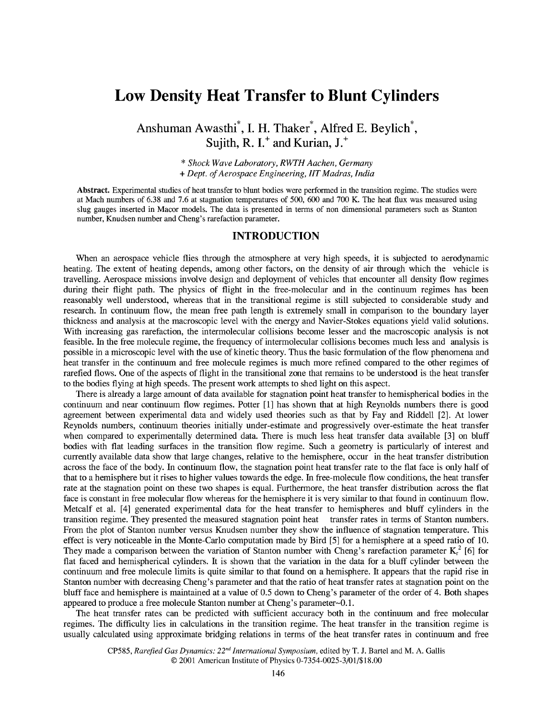# **Low Density Heat Transfer to Blunt Cylinders**

Anshuman Awasthi<sup>\*</sup>, I. H. Thaker<sup>\*</sup>, Alfred E. Beylich<sup>\*</sup>, Sujith, R. I.<sup>+</sup> and Kurian, J.<sup>+</sup>

> \* *Shock Wave Laboratory, RWTH Aachen, Germany* + *Dept. of Aerospace Engineering, IIT Madras, India*

**Abstract.** Experimental studies of heat transfer to blunt bodies were performed in the transition regime. The studies were at Mach numbers of 6.38 and 7.6 at stagnation temperatures of 500, 600 and 700 K. The heat flux was measured using slug gauges inserted in Macor models. The data is presented in terms of non dimensional parameters such as Stanton number, Knudsen number and Cheng's rarefaction parameter.

## **INTRODUCTION**

When an aerospace vehicle flies through the atmosphere at very high speeds, it is subjected to aerodynamic heating. The extent of heating depends, among other factors, on the density of air through which the vehicle is travelling. Aerospace missions involve design and deployment of vehicles that encounter all density flow regimes during their flight path. The physics of flight in the free-molecular and in the continuum regimes has been reasonably well understood, whereas that in the transitional regime is still subjected to considerable study and research. In continuum flow, the mean free path length is extremely small in comparison to the boundary layer thickness and analysis at the macroscopic level with the energy and Navier-Stokes equations yield valid solutions. With increasing gas rarefaction, the intermolecular collisions become lesser and the macroscopic analysis is not feasible. In the free molecule regime, the frequency of intermolecular collisions becomes much less and analysis is possible in a microscopic level with the use of kinetic theory. Thus the basic formulation of the flow phenomena and heat transfer in the continuum and free molecule regimes is much more refined compared to the other regimes of rarefied flows. One of the aspects of flight in the transitional zone that remains to be understood is the heat transfer to the bodies flying at high speeds. The present work attempts to shed light on this aspect.

There is already a large amount of data available for stagnation point heat transfer to hemispherical bodies in the continuum and near continuum flow regimes. Potter [1] has shown that at high Reynolds numbers there is good agreement between experimental data and widely used theories such as that by Fay and Riddell [2]. At lower Reynolds numbers, continuum theories initially under-estimate and progressively over-estimate the heat transfer when compared to experimentally determined data. There is much less heat transfer data available [3] on bluff bodies with flat leading surfaces in the transition flow regime. Such a geometry is particularly of interest and currently available data show that large changes, relative to the hemisphere, occur in the heat transfer distribution across the face of the body. In continuum flow, the stagnation point heat transfer rate to the flat face is only half of that to a hemisphere but it rises to higher values towards the edge. In free-molecule flow conditions, the heat transfer rate at the stagnation point on these two shapes is equal. Furthermore, the heat transfer distribution across the flat face is constant in free molecular flow whereas for the hemisphere it is very similar to that found in continuum flow. Metcalf et al. [4] generated experimental data for the heat transfer to hemispheres and bluff cylinders in the transition regime. They presented the measured stagnation point heat transfer rates in terms of Stanton numbers. From the plot of Stanton number versus Knudsen number they show the influence of stagnation temperature. This effect is very noticeable in the Monte-Carlo computation made by Bird [5] for a hemisphere at a speed ratio of 10. They made a comparison between the variation of Stanton number with Cheng's rarefaction parameter  $K_r^2$  [6] for flat faced and hemispherical cylinders. It is shown that the variation in the data for a bluff cylinder between the continuum and free molecule limits is quite similar to that found on a hemisphere. It appears that the rapid rise in Stanton number with decreasing Cheng's parameter and that the ratio of heat transfer rates at stagnation point on the bluff face and hemisphere is maintained at a value of 0.5 down to Cheng's parameter of the order of 4. Both shapes appeared to produce a free molecule Stanton number at Cheng's parameter~0.1.

The heat transfer rates can be predicted with sufficient accuracy both in the continuum and free molecular regimes. The difficulty lies in calculations in the transition regime. The heat transfer in the transition regime is usually calculated using approximate bridging relations in terms of the heat transfer rates in continuum and free

CP585, *Rarefied Gas Dynamics: 22nd International Symposium,* edited by T. J. Bartel and M. A. Gallis

© 2001 American Institute of Physics 0-7354-0025-3/01/\$18.00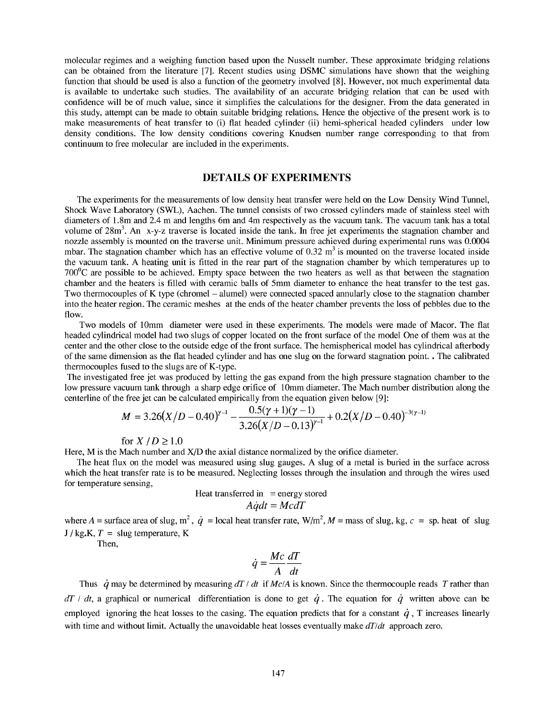molecular regimes and a weighing function based upon the Nusselt number. These approximate bridging relations can be obtained from the literature [7]. Recent studies using DSMC simulations have shown that the weighing function that should be used is also a function of the geometry involved [8]. However, not much experimental data is available to undertake such studies. The availability of an accurate bridging relation that can be used with confidence will be of much value, since it simplifies the calculations for the designer. From the data generated in this study, attempt can be made to obtain suitable bridging relations. Hence the objective of the present work is to make measurements of heat transfer to (i) flat headed cylinder (ii) hemi-spherical headed cylinders under low density conditions. The low density conditions covering Knudsen number range corresponding to that from continuum to free molecular are included in the experiments.

#### **DETAILS OF EXPERIMENTS**

The experiments for the measurements of low density heat transfer were held on the Low Density Wind Tunnel, Shock Wave Laboratory (SWL), Aachen. The tunnel consists of two crossed cylinders made of stainless steel with diameters of 1.8m and 2.4 m and lengths 6m and 4m respectively as the vacuum tank. The vacuum tank has a total volume of 28m<sup>3</sup>. An x-y-z traverse is located inside the tank. In free jet experiments the stagnation chamber and nozzle assembly is mounted on the traverse unit. Minimum pressure achieved during experimental runs was 0.0004 mbar. The stagnation chamber which has an effective volume of  $0.32 \text{ m}^3$  is mounted on the traverse located inside the vacuum tank. A heating unit is fitted in the rear part of the stagnation chamber by which temperatures up to 700°C are possible to be achieved. Empty space between the two heaters as well as that between the stagnation chamber and the heaters is filled with ceramic balls of 5mm diameter to enhance the heat transfer to the test gas. Two thermocouples of K type (chromel – alumel) were connected spaced annularly close to the stagnation chamber into the heater region. The ceramic meshes at the ends of the heater chamber prevents the loss of pebbles due to the flow.

Two models of 10mm diameter were used in these experiments. The models were made of Macor. The flat headed cylindrical model had two slugs of copper located on the front surface of the model One of them was at the center and the other close to the outside edge of the front surface. The hemispherical model has cylindrical afterbody of the same dimension as the flat headed cylinder and has one slug on the forward stagnation point. . The calibrated thermocouples fused to the slugs are of K-type.

The investigated free jet was produced by letting the gas expand from the high pressure stagnation chamber to the low pressure vacuum tank through a sharp edge orifice of 10mm diameter. The Mach number distribution along the centerline of the free jet can be calculated empirically from the equation given below [9] :

$$
M = 3.26(X/D - 0.40)^{\gamma - 1} - \frac{0.5(\gamma + 1)(\gamma - 1)}{3.26(X/D - 0.13)^{\gamma - 1}} + 0.2(X/D - 0.40)^{-3(\gamma - 1)}
$$

for  $X/D \geq 1.0$ 

Here, M is the Mach number and X/D the axial distance normalized by the orifice diameter.

The heat flux on the model was measured using slug gauges. A slug of a metal is buried in the surface across which the heat transfer rate is to be measured. Neglecting losses through the insulation and through the wires used for temperature sensing,

Heat transferred in = energy stored  

$$
A\dot{q}dt = McdT
$$

where  $A$  = surface area of slug,  $m^2$ ,  $\dot{q}$  = local heat transfer rate,  $W/m^2$ ,  $M$  = mass of slug, kg,  $c$  = sp. heat of slug  $J / kg.K$ ,  $T =$  slug temperature, K

Then,

$$
\dot{q} = \frac{Mc}{A} \frac{dT}{dt}
$$

Thus *q* may be determined by measuring *dT I dt* if *Me I A* is known. Since the thermocouple reads *T* rather than  $dT / dt$ , a graphical or numerical differentiation is done to get  $\dot{q}$ . The equation for  $\dot{q}$  written above can be employed ignoring the heat losses to the casing. The equation predicts that for a constant  $\dot{q}$ , T increases linearly with time and without limit. Actually the unavoidable heat losses eventually make  $dT/dt$  approach zero.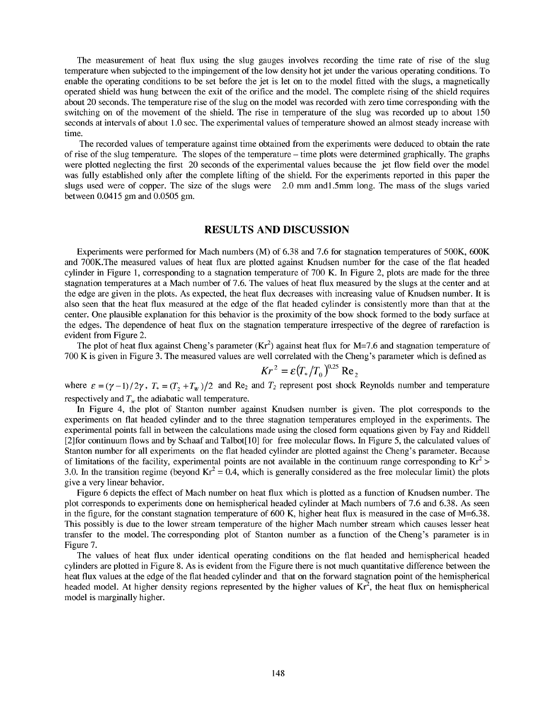The measurement of heat flux using the slug gauges involves recording the time rate of rise of the slug temperature when subjected to the impingement of the low density hot jet under the various operating conditions. To enable the operating conditions to be set before the jet is let on to the model fitted with the slugs, a magnetically operated shield was hung between the exit of the orifice and the model. The complete rising of the shield requires about 20 seconds. The temperature rise of the slug on the model was recorded with zero time corresponding with the switching on of the movement of the shield. The rise in temperature of the slug was recorded up to about 150 seconds at intervals of about 1.0 sec. The experimental values of temperature showed an almost steady increase with time.

The recorded values of temperature against time obtained from the experiments were deduced to obtain the rate of rise of the slug temperature. The slopes of the temperature - time plots were determined graphically. The graphs were plotted neglecting the first 20 seconds of the experimental values because the jet flow field over the model was fully established only after the complete lifting of the shield. For the experiments reported in this paper the slugs used were of copper. The size of the slugs were 2.0 mm and 1.5mm long. The mass of the slugs varied between 0.0415 gm and 0.0505 gm.

#### **RESULTS AND DISCUSSION**

Experiments were performed for Mach numbers (M) of 6.38 and 7.6 for stagnation temperatures of 500K, 600K and TOOK.The measured values of heat flux are plotted against Knudsen number for the case of the flat headed cylinder in Figure 1, corresponding to a stagnation temperature of 700 K. In Figure 2, plots are made for the three stagnation temperatures at a Mach number of 7.6. The values of heat flux measured by the slugs at the center and at the edge are given in the plots. As expected, the heat flux decreases with increasing value of Knudsen number. It is also seen that the heat flux measured at the edge of the flat headed cylinder is consistently more than that at the center. One plausible explanation for this behavior is the proximity of the bow shock formed to the body surface at the edges. The dependence of heat flux on the stagnation temperature irrespective of the degree of rarefaction is evident from Figure 2.

The plot of heat flux against Cheng's parameter  $(Kr^2)$  against heat flux for M=7.6 and stagnation temperature of 700 K is given in Figure 3. The measured values are well correlated with the Cheng's parameter which is defined as

$$
Kr^2 = \varepsilon (T_*/T_0)^{0.25} \text{ Re}_2
$$

where  $\varepsilon = (\gamma - 1)/2\gamma$ ,  $T_* = (T_2 + T_w)/2$  and Re<sub>2</sub> and  $T_2$  represent post shock Reynolds number and temperature respectively and  $T<sub>w</sub>$  the adiabatic wall temperature.

In Figure 4, the plot of Stanton number against Knudsen number is given. The plot corresponds to the experiments on flat headed cylinder and to the three stagnation temperatures employed in the experiments. The experimental points fall in between the calculations made using the closed form equations given by Fay and Riddell [2]for continuum flows and by Schaaf and Talbot[10] for free molecular flows. In Figure 5, the calculated values of Stanton number for all experiments on the flat headed cylinder are plotted against the Cheng's parameter. Because of limitations of the facility, experimental points are not available in the continuum range corresponding to  $Kr^2$ 3.0. In the transition regime (beyond  $Kr^2 = 0.4$ , which is generally considered as the free molecular limit) the plots give a very linear behavior.

Figure 6 depicts the effect of Mach number on heat flux which is plotted as a function of Knudsen number. The plot corresponds to experiments done on hemispherical headed cylinder at Mach numbers of 7.6 and 6.38. As seen in the figure, for the constant stagnation temperature of 600 K, higher heat flux is measured in the case of M=6.38. This possibly is due to the lower stream temperature of the higher Mach number stream which causes lesser heat transfer to the model. The corresponding plot of Stanton number as a function of the Cheng's parameter is in Figure 7.

The values of heat flux under identical operating conditions on the flat headed and hemispherical headed cylinders are plotted in Figure 8. As is evident from the Figure there is not much quantitative difference between the heat flux values at the edge of the flat headed cylinder and that on the forward stagnation point of the hemispherical headed model. At higher density regions represented by the higher values of  $Kr^2$ , the heat flux on hemispherical model is marginally higher.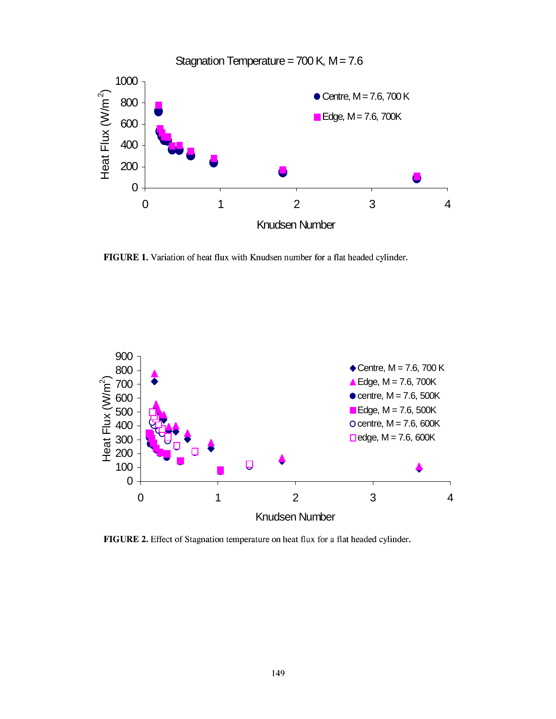

**FIGURE 1.** Variation of heat flux with Knudsen number for a flat headed cylinder. **FIGURE 1.** Variation of heat flux with Knudsen number for a flat headed cylinder. **FIGURE 1.** Variation of heat flux with Knudsen number for a flat headed cylinder.



FIGURE 2. Effect of Stagnation temperature on heat flux for a flat headed cylinder.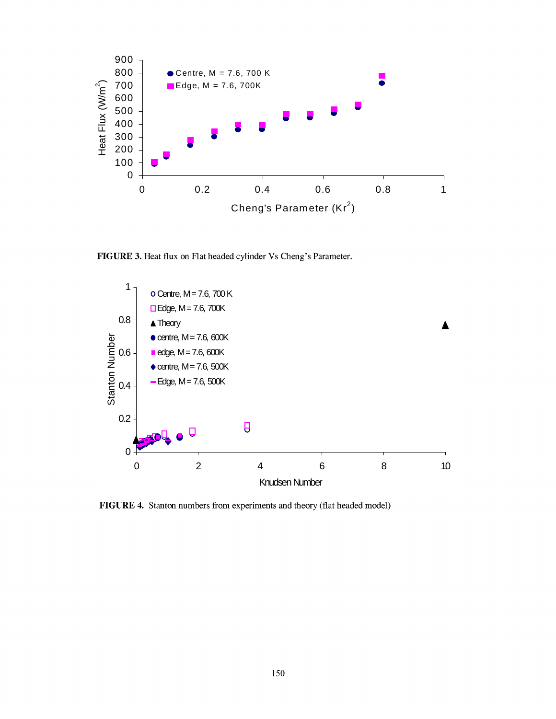

**FIGURE 3.** Heat flux on Flat headed cylinder Vs Cheng's Parameter. **FIGURE 3.** Heat flux on Flat headed cylinder Vs Cheng's Parameter. **FIGURE 3.** Heat flux on Flat headed cylinder Vs Cheng's Parameter.



**FIGURE 4.** Stanton numbers from experiments and theory (flat headed model)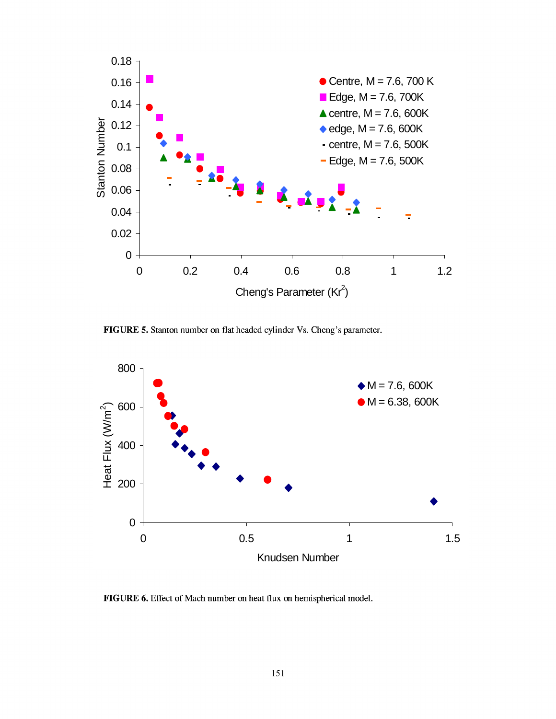

**FIGURE** 5. Stanton number on flat headed cylinder Vs. Cheng's parameter. **FIGURE 5.** Stanton number on flat headed cylinder Vs. Cheng's parameter. **FIGURE 5.** Stanton number on flat headed cylinder Vs. Cheng's parameter.



**FIGURE** *6.* Effect of Mach number on heat flux on hemispherical model. **FIGURE 6.** Effect of Mach number on heat flux on hemispherical model.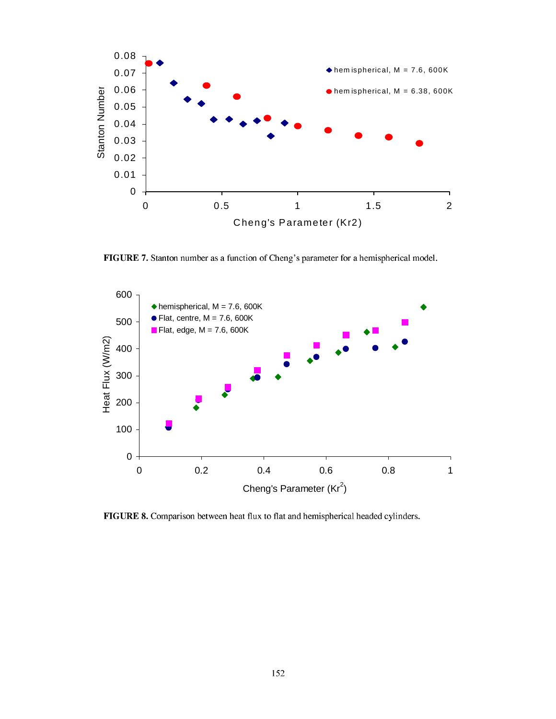

FIGURE 7. Stanton number as a function of Cheng's parameter for a hemispherical model.



**FIGURE 8.** Comparison between heat flux to flat and hemispherical headed cylinders. **FIGURE 8.** Comparison between heat flux to flat and hemispherical headed cylinders.